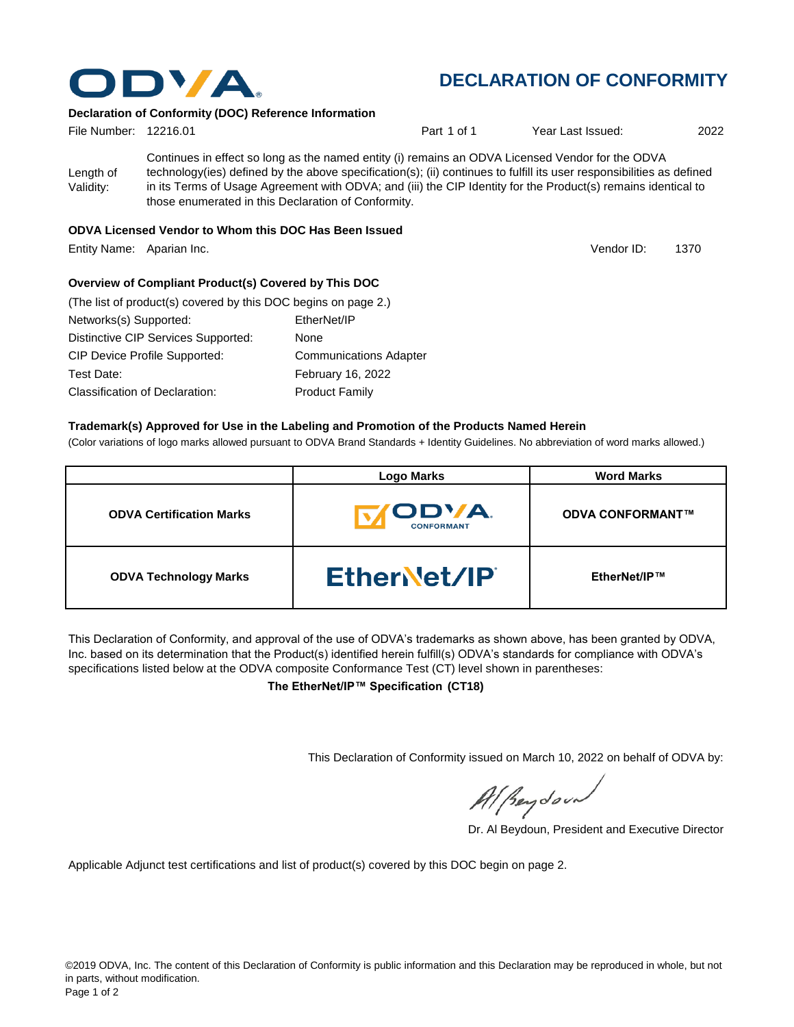

# **DECLARATION OF CONFORMITY**

Vendor ID:

### **Declaration of Conformity (DOC) Reference Information**

| File Number: 12216.01  |                                                                                                                                                                                                                                                                                                                                                                                                   | Part 1 of 1 | Year Last Issued: | 2022 |
|------------------------|---------------------------------------------------------------------------------------------------------------------------------------------------------------------------------------------------------------------------------------------------------------------------------------------------------------------------------------------------------------------------------------------------|-------------|-------------------|------|
| Length of<br>Validity: | Continues in effect so long as the named entity (i) remains an ODVA Licensed Vendor for the ODVA<br>technology(ies) defined by the above specification(s); (ii) continues to fulfill its user responsibilities as defined<br>in its Terms of Usage Agreement with ODVA; and (iii) the CIP Identity for the Product(s) remains identical to<br>those enumerated in this Declaration of Conformity. |             |                   |      |
|                        | ODVA Lissos od Vander to Whom this DOO Has Dean Joseph                                                                                                                                                                                                                                                                                                                                            |             |                   |      |

#### **ODVA Licensed Vendor to Whom this DOC Has Been Issued**

Entity Name: Aparian Inc. **1370** Contract the Contract of Contract of Contract of Contract of Contract of Contract of Contract of Contract of Contract of Contract of Contract of Contract of Contract of Contract of Contract

### **Overview of Compliant Product(s) Covered by This DOC**

| (The list of product(s) covered by this DOC begins on page 2.) |                               |
|----------------------------------------------------------------|-------------------------------|
| Networks(s) Supported:                                         | EtherNet/IP                   |
| Distinctive CIP Services Supported:                            | None                          |
| <b>CIP Device Profile Supported:</b>                           | <b>Communications Adapter</b> |
| Test Date:                                                     | February 16, 2022             |
| Classification of Declaration:                                 | <b>Product Family</b>         |

## **Trademark(s) Approved for Use in the Labeling and Promotion of the Products Named Herein**

(Color variations of logo marks allowed pursuant to ODVA Brand Standards + Identity Guidelines. No abbreviation of word marks allowed.)

|                                 | <b>Logo Marks</b>                         | <b>Word Marks</b>       |
|---------------------------------|-------------------------------------------|-------------------------|
| <b>ODVA Certification Marks</b> | <b><i>IODVA.</i></b><br><b>CONFORMANT</b> | <b>ODVA CONFORMANT™</b> |
| <b>ODVA Technology Marks</b>    | EtherNet/IP                               | EtherNet/IP™            |

This Declaration of Conformity, and approval of the use of ODVA's trademarks as shown above, has been granted by ODVA, Inc. based on its determination that the Product(s) identified herein fulfill(s) ODVA's standards for compliance with ODVA's specifications listed below at the ODVA composite Conformance Test (CT) level shown in parentheses:

**The EtherNet/IP™ Specification (CT18)**

This Declaration of Conformity issued on March 10, 2022 on behalf of ODVA by:

Al Beydoor

Dr. Al Beydoun, President and Executive Director

Applicable Adjunct test certifications and list of product(s) covered by this DOC begin on page 2.